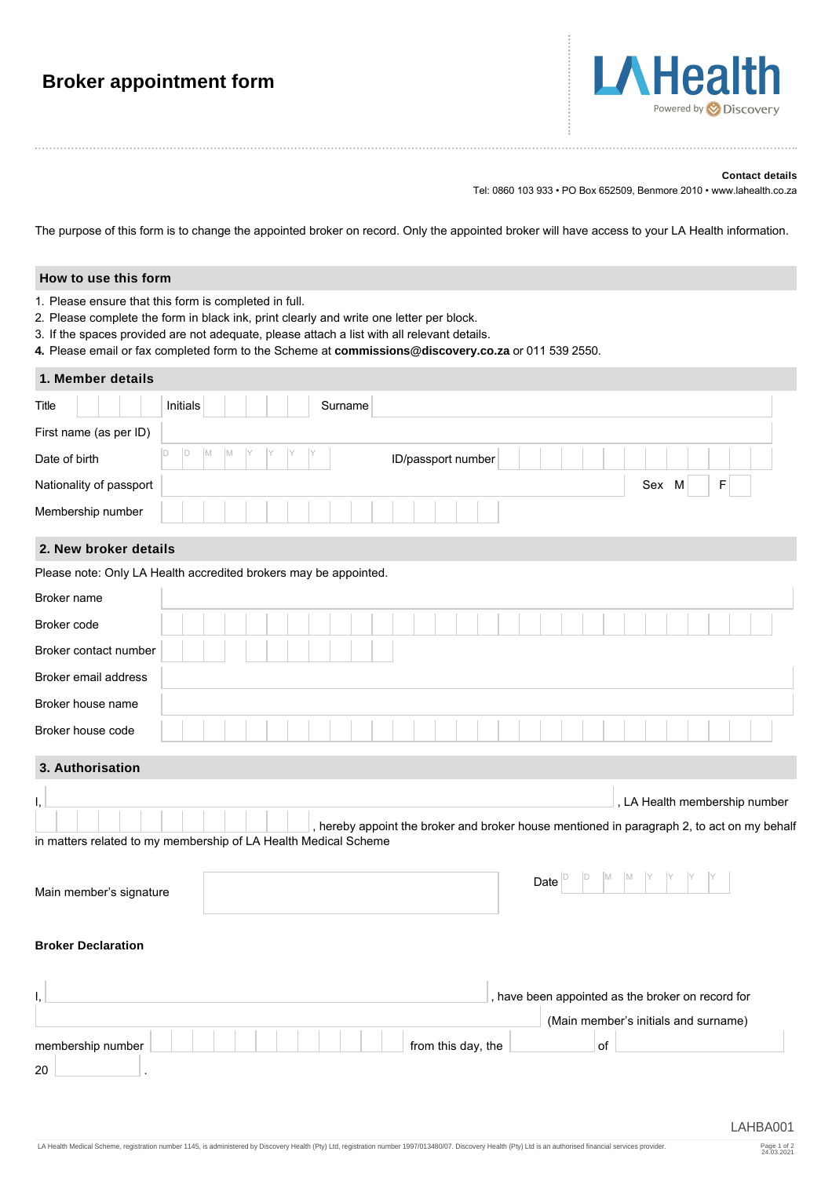| <b>Broker appointment form</b> |  |
|--------------------------------|--|
|--------------------------------|--|



#### **Contact details**

Tel: 0860 103 933 • PO Box 652509, Benmore 2010 • www.lahealth.co.za

The purpose of this form is to change the appointed broker on record. Only the appointed broker will have access to your LA Health information.

#### **How to use this form**

- 1. Please ensure that this form is completed in full.
- 2. Please complete the form in black ink, print clearly and write one letter per block.
- 3. If the spaces provided are not adequate, please attach a list with all relevant details.

**4.** Please email or fax completed form to the Scheme at **commissions@discovery.co.za** or 011 539 2550.

# **1. Member details** Title Initials Surname First name (as per ID) Date of birth  $\begin{array}{cc} \vert \text{D} \vert & \vert \text{M} \vert & \vert \text{M} \vert & \vert \text{Y} \vert & \vert \text{Y} \vert & \vert \text{Y} \vert & \vert \text{D/passport number} \end{array}$ Nationality of passport Sex M F Membership number D D M M Y Y Y Y

### **2. New broker details**

|                       | Please note: Only LA Health accredited brokers may be appointed. |  |  |  |  |  |  |  |  |  |  |  |  |  |  |  |  |  |  |  |
|-----------------------|------------------------------------------------------------------|--|--|--|--|--|--|--|--|--|--|--|--|--|--|--|--|--|--|--|
| Broker name           |                                                                  |  |  |  |  |  |  |  |  |  |  |  |  |  |  |  |  |  |  |  |
| Broker code           |                                                                  |  |  |  |  |  |  |  |  |  |  |  |  |  |  |  |  |  |  |  |
| Broker contact number |                                                                  |  |  |  |  |  |  |  |  |  |  |  |  |  |  |  |  |  |  |  |
| Broker email address  |                                                                  |  |  |  |  |  |  |  |  |  |  |  |  |  |  |  |  |  |  |  |
| Broker house name     |                                                                  |  |  |  |  |  |  |  |  |  |  |  |  |  |  |  |  |  |  |  |
| Broker house code     |                                                                  |  |  |  |  |  |  |  |  |  |  |  |  |  |  |  |  |  |  |  |
|                       |                                                                  |  |  |  |  |  |  |  |  |  |  |  |  |  |  |  |  |  |  |  |

## **3. Authorisation**

|  |  |  |  |  |  |                                                                 | . LA Health membership number |
|--|--|--|--|--|--|-----------------------------------------------------------------|-------------------------------|
|  |  |  |  |  |  |                                                                 |                               |
|  |  |  |  |  |  | in matters related to my membership of LA Health Medical Scheme |                               |

| Main member's signature | Date |  | <b>IVI</b> |  |  |  |
|-------------------------|------|--|------------|--|--|--|
|                         |      |  |            |  |  |  |

#### **Broker Declaration**

|                   |                    | , have been appointed as the broker on record for |  |
|-------------------|--------------------|---------------------------------------------------|--|
|                   |                    | (Main member's initials and surname)              |  |
| membership number | from this day, the | οf                                                |  |
| 20                |                    |                                                   |  |